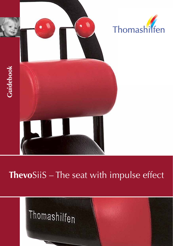

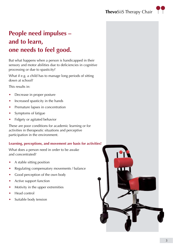

# **People need impulses – and to learn, one needs to feel good.**

But what happens when a person is handicapped in their sensory and motor abilities due to deficiencies in cognitive processing or due to spasticity?

What if e.g. a child has to manage long periods of sitting down at school?

This results in:

- **•** Decrease in proper posture
- **•** Increased spasticity in the hands
- Premature lapses in concentration
- **•** Symptoms of fatigue
- **•** Fidgety or agitated behavior

These are poor conditions for academic learning or for activities in therapeutic situations and perceptive participation in the environment.

### **Learning, perceptions, and movement are basis for activities!**

What does a person need in order to be awake and concentrated?

- **•** A stable sitting position
- **•** Regulating compensatory movements / balance
- **•** Good perception of the own body
- **•** Active support function
- **•** Motivity in the upper extremities
- **•** Head control
- **•** Suitable body tension

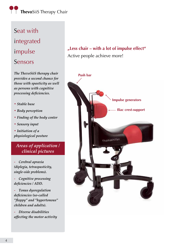# **Thevo**SiiS Therapy Chair

# Seat with integrated impulse Sensors

*The ThevoSiiS therapy chair provides a second chance for those with spasticity as well as persons with cognitive processing deficiencies.*

- *Stable base*
- *Body perception*
- *Finding of the body center*
- *Sensory input*
- *Initiation of a physiological posture*

*Areas of application / clinical pictures*

*- Cerebral apraxia (diplegia, tetraspasticity, single-side problems).*

*- Cognitive processing deficiencies / ADD.*

*- Tonus dysregulation deficiencies (so-called "floppy" and "hypertonous" children and adults).*

*- Diverse disabilities affecting the motor activity*

# **"Less chair – with a lot of impulse effect"** Active people achieve more!

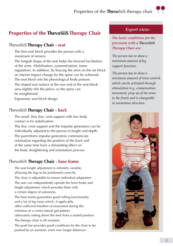## Properties of the **Thevo**SiiS therapy chair



# **Properties of the ThevoSiiS Therapy Chair**

### ThevoSiiS **Therapy Chair - seat**

- The firm seat block provides the person with a maximum of sensory
- The longish shape of the seat helps the forward facilitation of the arms. (Stabilisation, symmetrisation, tones regulation). In addition, by bracing the arms on the set block an interim impact change for the spine can be achieved.
- The seat block sets the physiological body posture.
- The sloped seat surface at the rear end of the seat block area slightly tilts the pelvis, so the spine can be straightened.
- Ergonomic seat block design

### ThevoSiiS **Therapy Chair - back**

- The small, firm iliac crest support with low body contact is for stabilization.
- The iliac crest support and the impulse generators can be individually adjusted to the person in height and depth.
- The punctiform impulse generators communicate orientation regarding the position of the back and at the same time have a stimulating effect on the body straightening and orientation process.

### ThevoSiiS **Therapy Chair - base frame**

- The seat height adjustment is infinitely variable, allowing the legs to be positioned correctly.
- The chair is adjustable to ensure individual adaptation
- The user can independently operate the lever brake and height adjustment, which provides them with a certain degree of autonomy.
- The base frame guarantees good rolling functionality and a lot of leg room which, if applicable, offers sufficient freedom of movement during the initiation of a contra lateral gait pattern (alternately setting down the feet) from a seated position.
- The therapy chair is tilt resistant.
- The push bar provides good conditions for the chair to be pushed by an assistant, even over longer distances.

### *Expert view:*

*The basic conditions for the provision with a ThevoSiiS Therapy Chair are:*

*The person has to show a minimum amount of leg support function.* 

*The person has to show a minimum amount of torso control, which can be activated through stimulation (e.g. compensation movement, prop up of the arms to the front) and is changeable in normotone direction.* 

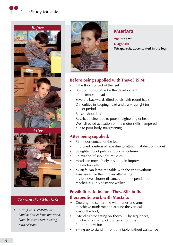# **Case Study Mustafa**



### *Therapist of Mustafa*

• *Sitting on ThevoSiiS, his hand activities have improved. Now, he even starts cutting with scissors.*



# **Mustafa**

**Age: 6 years Diagnosis: Tetraparesis, accentuated in the legs**

### **Before being supplied with Thevo**SiiS **M:**

- Little floor contact of the feet
- Position not suitable for the development of the femoral head
- Severely backwards tilted pelvis with round back
- Difficulties in keeping head and trunk upright for longer periods
- Raised shoulders
- Restricted view due to poor straightening of head
- Well-directed activation of fine motor skills hampered due to poor body straightening

### **After being supplied:**

- Firm floor contact of the feet
- Improved position of hips due to sitting in abduction (wide)
- Straightening of pelvis and spinal column
- Relaxation of shoulder muscles
- Head can move freely, resulting in improved fine motor skills
- Mustafa can leave the table with the chair without assistance. He then moves alternating his feet over shorter distances and independently reaches, e.g. his posterior walker.

### **Possibilities to include Thevo**SiiS **in the therapeutic work with Mustafa:**

- Crossing the center line with hands and arms to achieve trunk rotation around the vertical axis of the body
- Extending free sitting on ThevoSiiS by sequences, in which he shall pick up items from the floor or a low box
- Sitting up to stand in front of a table without assistance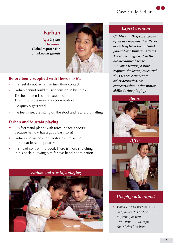## **Farhan**

**Age: 3 years Diagnosis: Global hypotension of unknown genesis**



### **Before being supplied with Thevo**SiiS **M:**

- His feet do not remain in firm floor contact
- Farhan cannot build muscle tension in his trunk
- The head often is super extended. This inhibits the eye-hand-coordination
- He quickly gets tired
- He feels insecure sitting on the stool and is afraid of falling

### **Farhan and Mustafa playing**

- His feet stand planar with force, he feels secure, because he now has a good basis to sit
- Farhan's pelvis position facilitates him sitting upright at least temporarily
- His head control improved. There is more stretching in his neck, allowing him for eye-hand-coordination



### *Expert opinion*

*Children with special needs often use movement patterns deviating from the optimal physiologic human patterns. These are inefficient in the biomechanical sense. A proper sitting posture requires the least power and thus leaves capacity for other activities, e.g. concentration or fine motor skills during playing.*



### *His physiotherapist*

• *When Farhan perceives his body better, his body control improves, as well. The ThevoSiiS therapy chair helps him here.*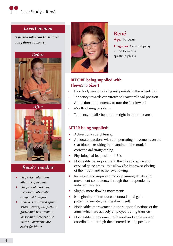

### *Expert opinion*

*A person who can trust their body dares to move.*



*After*



### *René's teacher*

- *• He participates more attentively in class.*
- *• His pace of work has increased noticeably compared to before.*
- *René has improved spinal straightening; the pectoral girdle and arms remain looser and therefore fine motor movements are easier for him.r.*



**René Age:** 10 years **Diagnosis:** Cerebral palsy

in the form of a spastic diplegia

### **BEFORE being supplied with Thevo**SiiS **Size 1**

- Poor body tension during rest periods in the wheelchair.
- Tendency towards overstretched rearward head position.
- Adduction and tendency to turn the feet inward.
- Mouth closing problems.
- Tendency to fall / bend to the right in the trunk area.

### **AFTER being supplied:**

- Active trunk straightening
- Adequate reactions with compensating movements on the seat block – resulting in balancing of the trunk / correct akial straightening
- Physiological leg position  $(45^{\circ})$ .
- Noticeably better posture in the thoracic spine and cervical spine areas - this allows for improved closing of the mouth and easier swallowing.
- Increased and improved motor planning ability and movement competency through the independently induced transfers.
- Slightly more flowing movements
- Is beginning to introduce a contra lateral gait pattern (alternately setting down feet).
- Noticeable improvement in the support functions of the arms, which are actively employed during transfers.
- Noticeable improvement of hand-hand and eye-hand coordination through the centered seating position.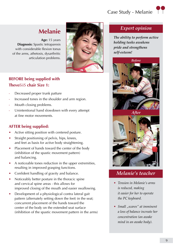# Case Study - Melanie



# **Melanie**

**Age:** 15 years **Diagnosis:** Spastic tetraparesis with considerable flexion tonus of the arms, athetosis, dysarthritic articulation problems.



### **BEFORE being supplied with Thevo**SiiS **chair Size 1:**

- Decreased proper trunk patture
- Increased tones in the shoulder and arm region.
- Mouth closing problems.
- Unintentional hand slowdown with every attempt at fine motor movements.

### **AFTER being supplied:**

- Active sitting position with centered posture.
- Straight positioning of pelvis, hips, knees, and feet as basis for active body straightening.
- Placement of hands toward the center of the body (inhibition of the spastic movement pattern) and balancing.
- A noticeable tones reduction in the upper extremities, resulting in improved grasping functions.
- Confident handling of gravity and balance.
- Noticeably better posture in the thoracic spine and cervical spine areas - this allows for improved closing of the mouth and easier swallowing.
- Development of a physiological contra lateral gait pattern (alternately setting down the feet) in the seat; concurrent placement of the hands toward the center of the body on the extended seat surface (inhibition of the spastic movement pattern in the arms)

### *Expert opinion*

*The ability to perform active holding tasks awakens pride and strengthens self-esteem!*



*After*



### *Melanie's teacher*

- • *Tension in Melanie's arms is reduced, making it easier for her to operate the PC keyboard.*
- *Small "scares" at imminent a loss of balance increate her concentration (an awake mind in an awake body).*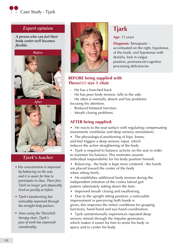

### *Expert opinion*

*A person who can feel their body center well becomes flexible.*



*After*



### *Tjark's teacher*

- • *His concentration is improved by balancing on the seat, and it is easier for him to participate in class. There fore, Tjark no longer gets physically tired as quickly as before.*
- *Tjark's handwriting has noticeably improved through the straight body posture.*
- *• Since using the ThevoSiiS therapy chair, Tjark's pace of work has improved considerably.*



### **BEFORE being supplied with Thevo**SiiS **size 1 chair**

- He has a hunched back
- He has poor body tension, falls to the side.
- He often is mentally absent and has problems focusing his attention.
- Reduced bilateral function.
- Mouth closing problems.

### **AFTER being supplied:**

• He reacts to the seat surface with regulating compensating movements (vestibular and deep sensory stimulation).

**Tjark**

**Age:** 15 years

**Diagnosis:** Tetraspastic –

dyslalia, foot in valgus

accentuated on the right, hypotonus of the trunk, oral hypotonus with

position, pronounced cognitive processing deficiencies

The physiological positioning of hips, knees, and feet triggers a deep sensory input, which induces the active straightening of the body.

• Tjark is required to balance activity on the seat in order to maintain his balance. This motirates assume individual responsibility for his body position himself.

• Balancing - the body is kept more centered - the hands are placed toward the center of the body when sitting freely.

• He establishes additional body tension during the independent initiation of the contra lateral gait pattern (alternately setting down the feet).

• Improved mouth closing and swallowing.

• Due to the upright sitting position, a noticeable improvement in perceiving both hands is given; this improves the initial conditions for grasping functions, hand-hand and eye-hand coordination.

• Tjark unintentionally experiences repeated deep sensory stimuli through the impulse generators, which makes it easier for him to sense his body in space and to center his body.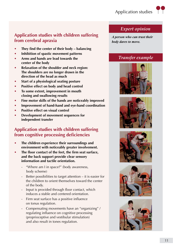# Application studies T



### **Application studies with children suffering from cerebral apraxia**

- **• They find the center of their body balancing**
- **Inhibition of spastic movement patterns**
- Arms and hands are lead towards the **center of the body**
- **Relaxation of the shoulder and neck region: The shoulders are no longer drawn in the direction of the head as much**
- **• Start of a physiological seating posture**
- **Positive effect on body and head control**
- **• To some extent, improvement in mouth closing and swallowing results**
- **• Fine motor skills of the hands are noticeably improved**
- **Improvement of hand-hand and eye-hand coordination**
- **Positive effect on visual control**
- **Development of movement sequences for independent transfer**

### **Application studies with children suffering from cognitive processing deficiencies**

- **The children experience their surroundings and environment with noticeably greater involvement.**
- **• The floor contact of the feet, the firm seat surface, and the back support provide clear sensory information and tactile orientation.**
	- "Where am I in space?" (body awareness, body scheme)
	- Better possibilities to target attention it is easier for the children to orient themselves toward the center of the body.
	- Input is provided through floor contact, which induces a stable and centered orientation.
	- Firm seat surface has a positive influence on tonus regulation.
	- Compensating movements have an "organizing" / regulating influence on cognitive processing (proprioceptive and vestibular stimulation) and also result in tones regulation.

### *Expert opinion*

*A person who can trust their body dares to move.*

### *Transfer example*









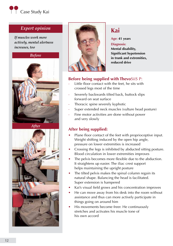

### *Expert opinion*

*If muscles work more actively, mental alertness increases, too*







# **Kai**

**Age: 41 years**

**Diagnosis: Mental disability, Significant hypotension in trunk and extremities, reduced drive**

### **Before being supplied with Thevo**SiiS P:

- Little floor contact with the feet, he sits with crossed legs most of the time
- Severely backwards tilted back, buttock slips forward on seat surface
- Thoracic spine severely kyphotic
- Super extended neck muscles (vulture head posture)
- Fine motor activities are done without power and very slowly

### **After being supplied:**

- Plane floor contact of the feet with proprioceptive input. Weight shifting induced by the open hip angle, pressure on lower extremities is increased
- Crossing the legs is inhibited by abducted sitting posture. Blood circulation in lower extremities improves
- The pelvis becomes more flexible due to the abduction. It straightens up easier. The iliac crest support helps maintaining the upright posture
- The tilted pelvis makes the spinal column regain its natural shape. Balancing the head is facilitated. Super extension is hampered
- Kai's visual field grows and his concentration improves
- He can move away from his desk into the room without assistance and thus can more actively participate in things going on around him
- His movements become freer. He continuously stretches and activates his muscle tone of his own accord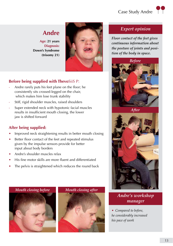**Age: 21 years Diagnosis: Down's Syndrome (trisomy 21)**



### **Before being supplied with Thevo**SiiS P:

- Andre rarely puts his feet plane on the floor; he consistently sits crossed-legged on the chair, which makes him lose trunk stability
- Stiff, rigid shoulder muscles, raised shoulders
- Super extended neck with hypotonic facial muscles results in insufficient mouth closing, the lower jaw is shifted forward

### **After being supplied:**

- Improved neck straightening results in better mouth closing
- Better floor contact of the feet and repeated stimulus given by the impulse sensors provide for better input about body borders
- Andre's shoulder muscles relax
- His fine motor skills are more fluent and differentiated
- The pelvis is straightened which reduces the round back





*Floor contact of the feet gives continuous information about the posture of joints and position of the body in space.*





### *Andre's workshop manager*

• *Compared to before, he considerably increased his pace of work*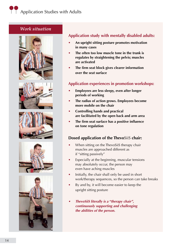### *Work situation*











### **Application study with mentally disabled adults:**

- **• An upright sitting posture promotes motivation in many cases**
- **• The often too low muscle tone in the trunk is regulates by straightening the pelvis; muscles are activated**
- **• The firm seat block gives clearer information over the seat surface**

### **Application experiences in promotion workshops:**

- **• Employees are less sleepy, even after longer periods of working**
- **• The radius of action grows. Employees become more mobile on the chair**
- **• Controlling hands and practical are facilitated by the open back and arm area**
- **• The firm seat surface has a positive influence on tone regulation**

### **Dosed application of the Thevo**SiiS **chair:**

- When sitting on the ThevoSiiS therapy chair muscles are approached different as if "sitting passively"
- Especially at the beginning, muscular tensions may absolutely occur, the person may even have aching muscles
- Initially, the chair shall only be used in short work/therapy sequences, so the person can take breaks
- By and by, it will become easier to keep the upright sitting posture
- **•** *ThevoSiiS literally is a "therapy chair", continuously supporting and challenging the abilities of the person.*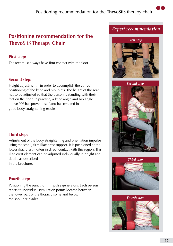# **Positioning recommendation for the Thevo**SiiS **Therapy Chair**

### **First step:**

The feet must always have firm contact with the floor .

### **Second step:**

Height adjustment – in order to accomplish the correct positioning of the knee and hip joints. The height of the seat has to be adjusted so that the person is standing with their feet on the floor. In practice, a knee angle and hip angle above 90° has proven itself and has resulted in good body straightening results.

### **Third step:**

Adjustment of the body straightening and orientation impulse using the small, firm iliac crest support. It is positioned at the lower iliac crest – often in direct contact with this region. This iliac crest element can be adjusted individually in height and depth, as described in the brochure.

### **Fourth step:**

Positioning the punctiform impulse generators: Each person reacts to individual stimulation points located between the lower part of the thoracic spine and below the shoulder blades.

### *Expert recommendation*



*Second step*





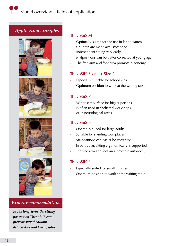# *Application examples*









### *Expert recommendation*

*In the long-term, the sitting posture on ThevoSiiS can prevent spinal column deformities and hip dysplasia.*

### **Thevo**SiiS **M**

- Optimally suited for the use in kindergarten
- Children are made accustomed to independent sitting very early
- Malpositions can be better corrected at young age
- The free arm and foot area promote autonomy

### **Thevo**SiiS **Size 1 + Size 2**

- Especially suitable for school kids
- Optimum position to work at the writing table

### **Thevo**SiiS P

- Wider seat surface for bigger persons
- Is often used in sheltered workshops or in neurological areas

### **Thevo**SiiS H

- Optimally suited for large adults
- Suitable for standing workplaces
- Malpositions can easier be corrected
- In particular, sitting ergonomically is supported
- The free arm and foot area promote autonomy

### **Thevo**SiiS S

- Especially suited for small children
- Optimum position to work at the writing table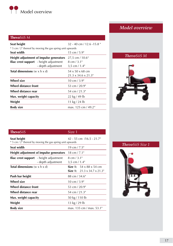

### **Thevo**SiiS M

| Seat height                                               | $32 - 40$ cm $/ 12.6 - 15.8$ "   |  |
|-----------------------------------------------------------|----------------------------------|--|
| * 5 cm / 2" thereof by moving the gas spring unit upwards |                                  |  |
| Seat width                                                | $15 \text{ cm} / 5.9$ "          |  |
| Height adjustment of impulse generators                   | 27,5 cm / 10.6"                  |  |
| <b>Iliac crest support</b> - height adjustment            | $8 \text{ cm} / 3.1$ "           |  |
| - depth adjustment                                        | $3.5 \text{ cm} / 1.4$ "         |  |
| <b>Total dimensions</b> (w $\times$ h $\times$ d)         | $54 \times 50 \times 68$ cm      |  |
|                                                           | $21.3 \times 34.6 \times 21.3$ " |  |
| Wheel size                                                | $10 \text{ cm} / 3.9$ "          |  |
| Wheel distance front                                      | 53 cm / 20.9"                    |  |
| Wheel distance rear                                       | 54 cm / 21.3"                    |  |
| Max. weight capacity                                      | $22 \text{ kg} / 49 \text{ lb}$  |  |
| Weight                                                    | 11 kg / 24 lb                    |  |
| <b>Body size</b>                                          | max. 125 cm / 49.2"              |  |

### *Model overview*





| <b>ThevoSiiS</b>                                  |                                                                      | Size 1                                                                                 |
|---------------------------------------------------|----------------------------------------------------------------------|----------------------------------------------------------------------------------------|
| Seat height                                       | * 5 cm / 2" thereof by moving the gas spring unit upwards            | 42 - 55 cm /16.5 - 21.7"                                                               |
| Seat width                                        |                                                                      | 19 cm / $7.5"$                                                                         |
|                                                   | Height adjustment of impulse generators                              | 18 cm / 7.1"                                                                           |
|                                                   | <b>Iliac crest support</b> - height adjustment<br>- depth adjustment | $8 \text{ cm} / 3.1$ "<br>$3.5$ cm $/ 1.4$ "                                           |
| <b>Total dimensions</b> (w $\times$ h $\times$ d) |                                                                      | <b>Size 1:</b> $54 \times 88 \times 54$ cm<br>Size 1: $21.3 \times 34.7 \times 21.3$ " |
| Push bar height                                   |                                                                      | 88 cm / 34.6"                                                                          |
| Wheel size                                        |                                                                      | $10 \text{ cm} / 3.9$ "                                                                |
| Wheel distance front                              |                                                                      | 53 cm / 20.9"                                                                          |
| Wheel distance rear                               |                                                                      | 54 cm / 21.3"                                                                          |
| Max. weight capacity                              |                                                                      | 50 kg / 110 lb                                                                         |
| Weight                                            |                                                                      | 13 kg / 29 lb                                                                          |
| <b>Body size</b>                                  |                                                                      | max. 135 cm / max. 53.1"                                                               |

### *ThevoSiiS Size 1*

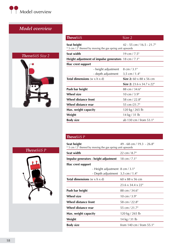

# *Model overview*



| <b>ThevoSiiS</b>                                                         | Size 2                                                     |
|--------------------------------------------------------------------------|------------------------------------------------------------|
| Seat height<br>* 5 cm / 2" thereof by moving the gas spring unit upwards | 42 - 55 cm / 16.5 - 21.7"                                  |
| Seat width                                                               | 19 cm $/ 7.5"$                                             |
| <b>Height adjustment of impulse generators</b> 18 cm $/7.1$ "            |                                                            |
| Iliac crest support                                                      |                                                            |
| - height adjustment                                                      | $8 \text{ cm} / 3.1$ "                                     |
| - depth adjustment                                                       | $3,5$ cm $/ 1.4$ "                                         |
| <b>Total dimensions</b> ( $w \times h \times d$ )                        | <b>Size 2:</b> 60 x 88 x 56 cm                             |
|                                                                          | <b>Size 2:</b> 23.6 $\times$ 34.7 $\times$ 22 <sup>"</sup> |
| Push bar height                                                          | 88 cm / 34.6"                                              |
| <b>Wheel size</b>                                                        | $10 \text{ cm} / 3.9$ "                                    |
| Wheel distance front                                                     | 58 cm / 22.8"                                              |
| Wheel distance rear                                                      | 55 cm /21.7"                                               |
| Max. weight capacity                                                     | 120 kg / 265 lb                                            |
| Weight                                                                   | 14 kg / 31 lb                                              |
| <b>Body size</b>                                                         | ab 130 cm / from 53.1"                                     |

| <b>ThevoSiiS P</b> |  |
|--------------------|--|
|                    |  |

| $49 - 68$ cm $/ 19.3 - 26.8$ "<br>Seat height<br>* 5 cm / 2" thereof by moving the gas spring unit upwards |  |
|------------------------------------------------------------------------------------------------------------|--|
| Seat width<br>$22 \text{ cm} / 8.7$ "                                                                      |  |
| Impulse generators - height adjustment<br>18 cm $/ 7.1$ "                                                  |  |
| lliac crest support                                                                                        |  |
| - Height adjustment 8 cm / 3.1"                                                                            |  |
| - Depth adjustment $3.5 \text{ cm} / 1.4$ "                                                                |  |
| <b>Total dimensions</b> ( $w \times h \times d$ )<br>$60 \times 88 \times 56$ cm                           |  |
| $23.6 \times 34.4 \times 22$ "                                                                             |  |
| Push bar height<br>88 cm / 34.6"                                                                           |  |
| <b>Wheel size</b><br>$10 \text{ cm} / 3.9$ "                                                               |  |
| Wheel distance front<br>58 cm / 22.8"                                                                      |  |
| Wheel distance rear<br>55 cm / 21.7"                                                                       |  |
| 120 kg / 265 lb<br>Max. weight capacity                                                                    |  |
| Weight<br>14 kg / 31 lb                                                                                    |  |
| from 140 cm / from 55.1"<br>Body size                                                                      |  |

### *ThevoSiiS P*

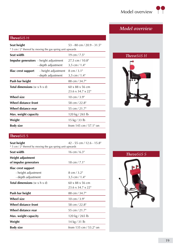### **Thevo**SiiS H

| Seat height                                               |                                               | $53 - 80$ cm $/ 20.9 - 31.5$ " |  |
|-----------------------------------------------------------|-----------------------------------------------|--------------------------------|--|
| * 5 cm / 2" thereof by moving the gas spring unit upwards |                                               |                                |  |
| Seat width                                                |                                               | 19 cm $/ 7.5$ "                |  |
|                                                           | <b>Impulse generators</b> - height adjustment | $27.5$ cm $/ 10.8$ "           |  |
|                                                           | - depth adjustment                            | $3.5$ cm $/ 1.4$ "             |  |
| Iliac crest support                                       | - height adjustment                           | $8 \text{ cm} / 3.1$ "         |  |
|                                                           | - depth adjustment                            | $3,5$ cm $/ 1.4$ "             |  |
| Push bar height                                           |                                               | 88 cm / 34.7"                  |  |
| <b>Total dimensions</b> (w $\times$ h $\times$ d)         |                                               | $60 \times 88 \times 56$ cm    |  |
|                                                           |                                               | $23.6 \times 34.7 \times 22$ " |  |
| Wheel size                                                |                                               | $10 \text{ cm} / 3.9$ "        |  |
| Wheel distance front                                      |                                               | 58 cm / 22.8"                  |  |
| Wheel distance rear                                       |                                               | 55 cm / 21.7"                  |  |
| Max. weight capacity                                      |                                               | 120 kg / 265 lb                |  |
| Weight                                                    |                                               | 15 kg / 33 lb                  |  |
| <b>Body size</b>                                          |                                               | from 145 cm / 57.1" on         |  |

### *ThevoSiiS H*

*Model overview*



### **Thevo**SiiS S

| Seat height<br>* 5 cm / 2" thereof by moving the gas spring unit upwards | 42 - 55 cm / 12.6 - 15.8"      |
|--------------------------------------------------------------------------|--------------------------------|
| Seat width                                                               | $16 \text{ cm} / 6.3$ "        |
| Height adjustment                                                        |                                |
| of impulse generators                                                    | $18 \text{ cm} / 7.1$ "        |
| lliac crest support                                                      |                                |
| - height adjustment                                                      | $8 \text{ cm} / 3.2$ "         |
| - depth adjustment                                                       | $3,5$ cm $/ 1.4$ "             |
| <b>Total dimensions</b> (w x h x d)                                      | $60 \times 88 \times 56$ cm    |
|                                                                          | $23.6 \times 34.7 \times 22$ " |
| Push bar height                                                          | 88 cm / 34.7"                  |
| <b>Wheel size</b>                                                        | $10 \text{ cm} / 3.9$ "        |
| <b>Wheel distance front</b>                                              | 58 cm / 22.8"                  |
| Wheel distance rear                                                      | 55 cm / 21.7"                  |
| Max. weight capacity                                                     | 120 kg / 265 lb                |
| Weight                                                                   | 14 kg / 31 lb                  |
| <b>Body size</b>                                                         | from 135 cm / 53.2" on         |

### *ThevoSiiS S*

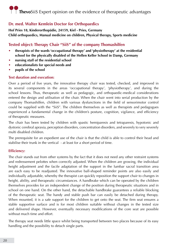# **Thevo**SiiS Expert opinion on the evidence of therapeutic advantages

### **Dr. med. Walter Kemlein Doctor for Orthopaedics**

**Hof Pries 18, Kinderorthopädie, 24159, Kiel - Pries, Germany Child orthopaedics, Manual medicine on children, Physical therapy, Sports medicine**

### **Tested object: Therapy Chair "SiiS" of the company Thomashilfen**

- **• therapists of the wards 'occupational therapy' and 'physiotherapy' at the residential school for the physically disabled of the Hellen Keller School in Damp, Germany**
- **• nursing staff of the residential school**
- **• educationalists for special needs and**
- **• pupils of the school**

### **Test duration and execution:**

Over a period of five years, the innovative therapy chair was tested, checked, and improved in its several components in the areas 'occupational therapy', 'physiotherapy', and during the school lessons. Thus, therapeutic as well as pedagogic, and orthopaedic-medical considerations entered the design and utilisation of the chair. When the chair went into serial production by the company Thomashilfen, children with various dysfunctions in the field of sensorimotor control could be supplied with the "SiiS". The children themselves as well as therapists and pedagogues experienced a fundamental change in the children's posture, cognition, vigilance, and efficiency of therapeutic measures.

The chair has been tested by children with spastic hemiparesis and tetraparesis, hypotonic and dystonic cerebral apraxia, perception disorders, concentration disorders, and severely to very severely multi disabled children.

The prerequisite for an expedient use of the chair is that the child is able to control their head and stabilise their trunk in the vertical - at least for a short period of time.

### **Efficiency:**

The chair stands out from other systems by the fact that it does not need any other restraint systems and redressement pelottes when correctly adjusted. When the children are growing, the individual height adjustment and the facile adaptation of the support in the lumbar sacral transition area are each easy to be readjusted. The innovative ball-shaped reminder points are also easily and individually adjustable, whereby the therapist can quickly reposition the support chair to changes in height, ability, and therapeutic circumstances. A handbrake which can be operated by the children themselves provides for an independent change of the position during therapeutic situations and in school on one hand. On the other hand, the detachable handbrake guarantees a reliable blocking of the therapeutic seat. The handy and stable push bar can easily be detached during therapy. When mounted, it is a safe support for the children to get onto the seat. The firm seat ensures a stable supportive surface and is for most children suitable without changes in the tested size and delivered shape. However, eventually necessary modifications of the core seat are possible without much time and effort.

The therapy seat needs little space whilst being transported between two places because of its easy handling and the possibility to detach single parts.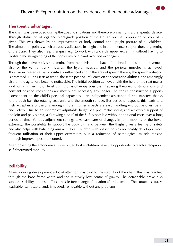

### **Therapeutic advantages:**

The chair was developed during therapeutic situations and therefore primarily is a therapeutic device. Through abduction of legs and plantigrade position of the feet an optimal proprioceptive control is given. This was shown by an improvement of body control and upright posture of all children. The stimulation points, which are easily adjustable in height and in prominence, support the straightening of the trunk. They also help therapists e.g. to work with a child's upper extremity without having to facilitate the straightening of the body with one hand over and over again.

Through the active body straightening from the pelvis to the back of the head, a tension improvement also of the ventral trunk muscles, the hyoid muscles, and the perioral muscles is achieved. Thus, an increased saliva is positively influenced and in the area of speech therapy the speech initiation is promoted. During tests at school the seat's positive influence on concentration abilities, and amazingly also on the agitation, became noticeable. The initial position achieved with the help of the seat makes work on a higher motor level during physiotherapy possible. Preparing therapeutic stimulations and constant position corrections are mostly not necessary any longer. The chair's construction supports - dependent on the child's personal capacities – an independent assistance during transfers thanks to the push bar, the rotating seat unit, and the smooth surface. Besides other aspects, this leads to a high acceptance of the SiiS among children. Other aspects are easy handling without pelottes, belts, and velcro. Due to an incomplex adjustable height via pneumatic spring and a flexible support of the loin and pelvis area, a "growing along" of the SiiS is possible without additional costs over a long period of time. Various adjustment settings take easy care of changes in joint mobility of the lower extremity. The possibility to support the body by hand between the thighs gives a feeling of safety and also helps with balancing arm activities. Children with spastic palsies noticeably develop a more frequent utilisation of their upper extremities plus a reduction of pathological muscle tension through improved postural control.

After loosening the ergonomically well-fitted brake, children have the opportunity to reach a reciprocal self-determined mobility.

### **Reliability:**

Already during development a lot of attention was paid to the stability of the chair. This was reached through the base frame width and the relatively low centre of gravity. The detachable brake also supports stability, but also offers a hassle-free change of location after loosening. The surface is sturdy, washable, sanitisable, and, if needed, removable without any problems.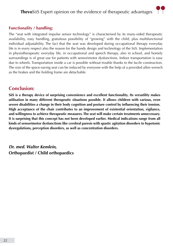## **Thevo**SiiS Expert opinion on the evidence of therapeutic advantages



### **Functionality / handling:**

The "seat with integrated impulse sensor technology" is characterised by its many-sided therapeutic availability, easy handling, gratuitous possibility of "growing" with the child, plus multifunctional individual adjustability. The fact that the seat was developed during occupational therapy everyday life is in every respect also the reason for the handy design and technology of the SiiS. Implementation in physiotherapeutic everyday life, in occupational and speech therapy, also in school, and homely surroundings is of great use for patients with sensorimotor dysfunctions. Indoor transportation is easy due to wheels. Transportation inside a car is possible without trouble thanks to the facile construction. The size of the space-saving seat can be reduced by everyone with the help of a provided allen wrench as the brakes and the holding frame are detachable.

### **Conclusion:**

**SiiS is a therapy device of surprising convenience and excellent functionality. Its versatility makes utilisation in many different therapeutic situations possible. It allows children with various, even severe disabilities a change in their body cognition and posture control by influencing their tension. High acceptance of the chair contributes to an improvement of existential orientation, vigilance, and willingness to achieve therapeutic measures. The seat will make certain treatments unnecessary. It is surprising that this concept has not been developed earlier. Medical indications range from all kinds of sensorimotor dysfunctions like cerebral paresis with spastic agitation disorders to hypotonic dysregulations, perception disorders, as well as concentration disorders.**

*Dr. med. Walter Kemlein,*  **Orthopaedist / Child orthopaedics**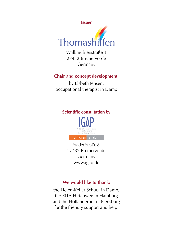

Walkmühlenstraße 1 27432 Bremervörde Germany

### **Chair and concept development:**

by Elsbeth Jensen, occupational therapist in Damp

### **Scientific consultation by**



Stader Straße 8 27432 Bremervörde Germany www.igap.de

### **We would like to thank:**

the Helen-Keller School in Damp, the KITA Hirtenweg in Hamburg and the Holländerhof in Flensburg for the friendly support and help.